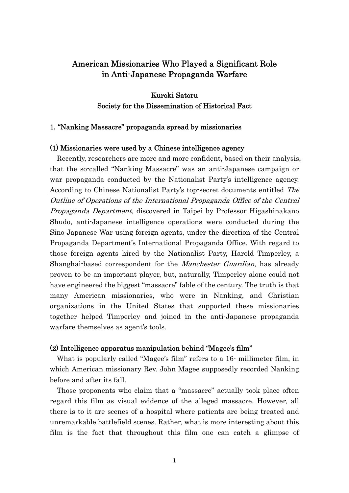# American Missionaries Who Played a Significant Role in Anti-Japanese Propaganda Warfare

Kuroki Satoru Society for the Dissemination of Historical Fact

# 1. "Nanking Massacre" propaganda spread by missionaries

# (1) Missionaries were used by a Chinese intelligence agency

 Recently, researchers are more and more confident, based on their analysis, that the so-called "Nanking Massacre" was an anti-Japanese campaign or war propaganda conducted by the Nationalist Party's intelligence agency. According to Chinese Nationalist Party's top-secret documents entitled The Outline of Operations of the International Propaganda Office of the Central Propaganda Department, discovered in Taipei by Professor Higashinakano Shudo, anti-Japanese intelligence operations were conducted during the Sino-Japanese War using foreign agents, under the direction of the Central Propaganda Department's International Propaganda Office. With regard to those foreign agents hired by the Nationalist Party, Harold Timperley, a Shanghai-based correspondent for the *Manchester Guardian*, has already proven to be an important player, but, naturally, Timperley alone could not have engineered the biggest "massacre" fable of the century. The truth is that many American missionaries, who were in Nanking, and Christian organizations in the United States that supported these missionaries together helped Timperley and joined in the anti-Japanese propaganda warfare themselves as agent's tools.

#### (2) Intelligence apparatus manipulation behind "Magee's film"

 What is popularly called "Magee's film" refers to a 16- millimeter film, in which American missionary Rev. John Magee supposedly recorded Nanking before and after its fall.

 Those proponents who claim that a "massacre" actually took place often regard this film as visual evidence of the alleged massacre. However, all there is to it are scenes of a hospital where patients are being treated and unremarkable battlefield scenes. Rather, what is more interesting about this film is the fact that throughout this film one can catch a glimpse of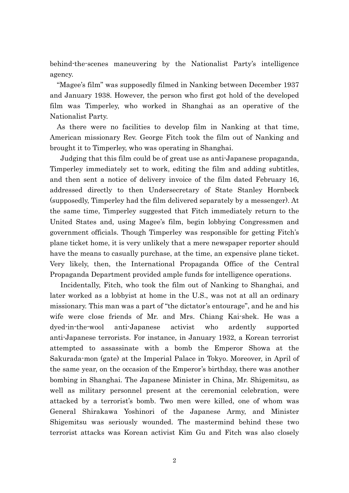behind-the-scenes maneuvering by the Nationalist Party's intelligence agency.

 "Magee's film" was supposedly filmed in Nanking between December 1937 and January 1938. However, the person who first got hold of the developed film was Timperley, who worked in Shanghai as an operative of the Nationalist Party.

As there were no facilities to develop film in Nanking at that time, American missionary Rev. George Fitch took the film out of Nanking and brought it to Timperley, who was operating in Shanghai.

 Judging that this film could be of great use as anti-Japanese propaganda, Timperley immediately set to work, editing the film and adding subtitles, and then sent a notice of delivery invoice of the film dated February 16, addressed directly to then Undersecretary of State Stanley Hornbeck (supposedly, Timperley had the film delivered separately by a messenger). At the same time, Timperley suggested that Fitch immediately return to the United States and, using Magee's film, begin lobbying Congressmen and government officials. Though Timperley was responsible for getting Fitch's plane ticket home, it is very unlikely that a mere newspaper reporter should have the means to casually purchase, at the time, an expensive plane ticket. Very likely, then, the International Propaganda Office of the Central Propaganda Department provided ample funds for intelligence operations.

 Incidentally, Fitch, who took the film out of Nanking to Shanghai, and later worked as a lobbyist at home in the U.S., was not at all an ordinary missionary. This man was a part of "the dictator's entourage", and he and his wife were close friends of Mr. and Mrs. Chiang Kai-shek. He was a dyed-in-the-wool anti-Japanese activist who ardently supported anti-Japanese terrorists. For instance, in January 1932, a Korean terrorist attempted to assassinate with a bomb the Emperor Showa at the Sakurada-mon (gate) at the Imperial Palace in Tokyo. Moreover, in April of the same year, on the occasion of the Emperor's birthday, there was another bombing in Shanghai. The Japanese Minister in China, Mr. Shigemitsu, as well as military personnel present at the ceremonial celebration, were attacked by a terrorist's bomb. Two men were killed, one of whom was General Shirakawa Yoshinori of the Japanese Army, and Minister Shigemitsu was seriously wounded. The mastermind behind these two terrorist attacks was Korean activist Kim Gu and Fitch was also closely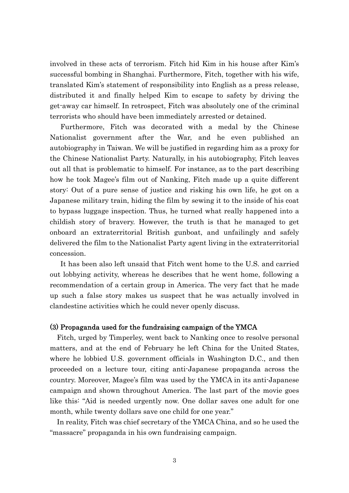involved in these acts of terrorism. Fitch hid Kim in his house after Kim's successful bombing in Shanghai. Furthermore, Fitch, together with his wife, translated Kim's statement of responsibility into English as a press release, distributed it and finally helped Kim to escape to safety by driving the get-away car himself. In retrospect, Fitch was absolutely one of the criminal terrorists who should have been immediately arrested or detained.

 Furthermore, Fitch was decorated with a medal by the Chinese Nationalist government after the War, and he even published an autobiography in Taiwan. We will be justified in regarding him as a proxy for the Chinese Nationalist Party. Naturally, in his autobiography, Fitch leaves out all that is problematic to himself. For instance, as to the part describing how he took Magee's film out of Nanking, Fitch made up a quite different story: Out of a pure sense of justice and risking his own life, he got on a Japanese military train, hiding the film by sewing it to the inside of his coat to bypass luggage inspection. Thus, he turned what really happened into a childish story of bravery. However, the truth is that he managed to get onboard an extraterritorial British gunboat, and unfailingly and safely delivered the film to the Nationalist Party agent living in the extraterritorial concession.

It has been also left unsaid that Fitch went home to the U.S. and carried out lobbying activity, whereas he describes that he went home, following a recommendation of a certain group in America. The very fact that he made up such a false story makes us suspect that he was actually involved in clandestine activities which he could never openly discuss.

#### (3) Propaganda used for the fundraising campaign of the YMCA

 Fitch, urged by Timperley, went back to Nanking once to resolve personal matters, and at the end of February he left China for the United States, where he lobbied U.S. government officials in Washington D.C., and then proceeded on a lecture tour, citing anti-Japanese propaganda across the country. Moreover, Magee's film was used by the YMCA in its anti-Japanese campaign and shown throughout America. The last part of the movie goes like this: "Aid is needed urgently now. One dollar saves one adult for one month, while twenty dollars save one child for one year."

 In reality, Fitch was chief secretary of the YMCA China, and so he used the "massacre" propaganda in his own fundraising campaign.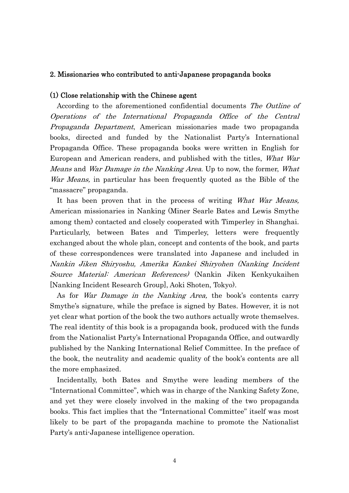## 2. Missionaries who contributed to anti-Japanese propaganda books

## (1) Close relationship with the Chinese agent

 According to the aforementioned confidential documents The Outline of Operations of the International Propaganda Office of the Central Propaganda Department, American missionaries made two propaganda books, directed and funded by the Nationalist Party's International Propaganda Office. These propaganda books were written in English for European and American readers, and published with the titles, What War Means and War Damage in the Nanking Area. Up to now, the former, What War Means, in particular has been frequently quoted as the Bible of the "massacre" propaganda.

It has been proven that in the process of writing What War Means, American missionaries in Nanking (Miner Searle Bates and Lewis Smythe among them) contacted and closely cooperated with Timperley in Shanghai. Particularly, between Bates and Timperley, letters were frequently exchanged about the whole plan, concept and contents of the book, and parts of these correspondences were translated into Japanese and included in Nankin Jiken Shiryoshu, Amerika Kankei Shiryohen (Nanking Incident Source Material: American References) (Nankin Jiken Kenkyukaihen [Nanking Incident Research Group], Aoki Shoten, Tokyo).

As for *War Damage in the Nanking Area*, the book's contents carry Smythe's signature, while the preface is signed by Bates. However, it is not yet clear what portion of the book the two authors actually wrote themselves. The real identity of this book is a propaganda book, produced with the funds from the Nationalist Party's International Propaganda Office, and outwardly published by the Nanking International Relief Committee. In the preface of the book, the neutrality and academic quality of the book's contents are all the more emphasized.

 Incidentally, both Bates and Smythe were leading members of the "International Committee", which was in charge of the Nanking Safety Zone, and yet they were closely involved in the making of the two propaganda books. This fact implies that the "International Committee" itself was most likely to be part of the propaganda machine to promote the Nationalist Party's anti-Japanese intelligence operation.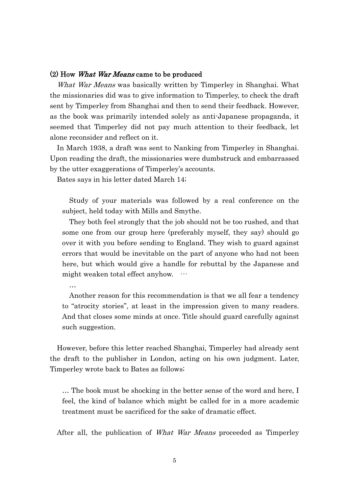## (2) How What War Means came to be produced

What War Means was basically written by Timperley in Shanghai. What the missionaries did was to give information to Timperley, to check the draft sent by Timperley from Shanghai and then to send their feedback. However, as the book was primarily intended solely as anti-Japanese propaganda, it seemed that Timperley did not pay much attention to their feedback, let alone reconsider and reflect on it.

 In March 1938, a draft was sent to Nanking from Timperley in Shanghai. Upon reading the draft, the missionaries were dumbstruck and embarrassed by the utter exaggerations of Timperley's accounts.

Bates says in his letter dated March 14;

…

Study of your materials was followed by a real conference on the subject, held today with Mills and Smythe.

They both feel strongly that the job should not be too rushed, and that some one from our group here (preferably myself, they say) should go over it with you before sending to England. They wish to guard against errors that would be inevitable on the part of anyone who had not been here, but which would give a handle for rebuttal by the Japanese and might weaken total effect anyhow. …

Another reason for this recommendation is that we all fear a tendency to "atrocity stories", at least in the impression given to many readers. And that closes some minds at once. Title should guard carefully against such suggestion.

 However, before this letter reached Shanghai, Timperley had already sent the draft to the publisher in London, acting on his own judgment. Later, Timperley wrote back to Bates as follows;

… The book must be shocking in the better sense of the word and here, I feel, the kind of balance which might be called for in a more academic treatment must be sacrificed for the sake of dramatic effect.

After all, the publication of *What War Means* proceeded as Timperley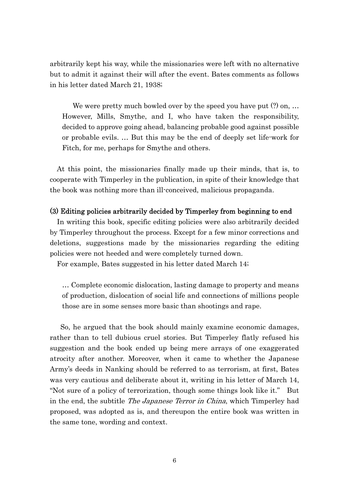arbitrarily kept his way, while the missionaries were left with no alternative but to admit it against their will after the event. Bates comments as follows in his letter dated March 21, 1938;

We were pretty much bowled over by the speed you have put  $(?)$  on, ... However, Mills, Smythe, and I, who have taken the responsibility, decided to approve going ahead, balancing probable good against possible or probable evils. … But this may be the end of deeply set life-work for Fitch, for me, perhaps for Smythe and others.

 At this point, the missionaries finally made up their minds, that is, to cooperate with Timperley in the publication, in spite of their knowledge that the book was nothing more than ill-conceived, malicious propaganda.

## (3) Editing policies arbitrarily decided by Timperley from beginning to end

 In writing this book, specific editing policies were also arbitrarily decided by Timperley throughout the process. Except for a few minor corrections and deletions, suggestions made by the missionaries regarding the editing policies were not heeded and were completely turned down.

For example, Bates suggested in his letter dated March 14;

… Complete economic dislocation, lasting damage to property and means of production, dislocation of social life and connections of millions people those are in some senses more basic than shootings and rape.

So, he argued that the book should mainly examine economic damages, rather than to tell dubious cruel stories. But Timperley flatly refused his suggestion and the book ended up being mere arrays of one exaggerated atrocity after another. Moreover, when it came to whether the Japanese Army's deeds in Nanking should be referred to as terrorism, at first, Bates was very cautious and deliberate about it, writing in his letter of March 14, "Not sure of a policy of terrorization, though some things look like it." But in the end, the subtitle The Japanese Terror in China, which Timperley had proposed, was adopted as is, and thereupon the entire book was written in the same tone, wording and context.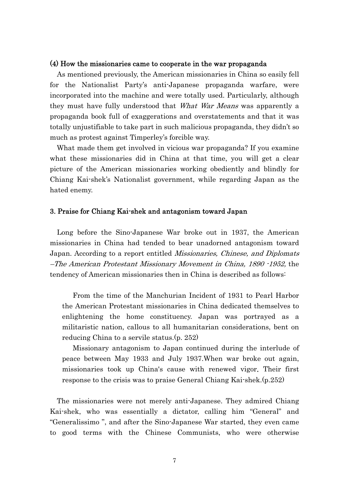#### (4) How the missionaries came to cooperate in the war propaganda

 As mentioned previously, the American missionaries in China so easily fell for the Nationalist Party's anti-Japanese propaganda warfare, were incorporated into the machine and were totally used. Particularly, although they must have fully understood that *What War Means* was apparently a propaganda book full of exaggerations and overstatements and that it was totally unjustifiable to take part in such malicious propaganda, they didn't so much as protest against Timperley's forcible way.

 What made them get involved in vicious war propaganda? If you examine what these missionaries did in China at that time, you will get a clear picture of the American missionaries working obediently and blindly for Chiang Kai-shek's Nationalist government, while regarding Japan as the hated enemy.

#### 3. Praise for Chiang Kai-shek and antagonism toward Japan

 Long before the Sino-Japanese War broke out in 1937, the American missionaries in China had tended to bear unadorned antagonism toward Japan. According to a report entitled *Missionaries, Chinese, and Diplomats* –The American Protestant Missionary Movement in China, 1890 -1952, the tendency of American missionaries then in China is described as follows:

From the time of the Manchurian Incident of 1931 to Pearl Harbor the American Protestant missionaries in China dedicated themselves to enlightening the home constituency. Japan was portrayed as a militaristic nation, callous to all humanitarian considerations, bent on reducing China to a servile status.(p. 252)

Missionary antagonism to Japan continued during the interlude of peace between May 1933 and July 1937.When war broke out again, missionaries took up China's cause with renewed vigor. Their first response to the crisis was to praise General Chiang Kai-shek.(p.252)

 The missionaries were not merely anti-Japanese. They admired Chiang Kai-shek, who was essentially a dictator, calling him "General" and "Generalissimo ", and after the Sino-Japanese War started, they even came to good terms with the Chinese Communists, who were otherwise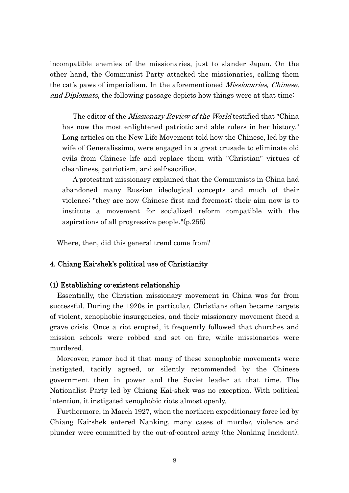incompatible enemies of the missionaries, just to slander Japan. On the other hand, the Communist Party attacked the missionaries, calling them the cat's paws of imperialism. In the aforementioned *Missionaries, Chinese,* and Diplomats, the following passage depicts how things were at that time:

The editor of the *Missionary Review of the World* testified that "China" has now the most enlightened patriotic and able rulers in her history." Long articles on the New Life Movement told how the Chinese, led by the wife of Generalissimo, were engaged in a great crusade to eliminate old evils from Chinese life and replace them with "Christian" virtues of cleanliness, patriotism, and self-sacrifice.

A protestant missionary explained that the Communists in China had abandoned many Russian ideological concepts and much of their violence; "they are now Chinese first and foremost; their aim now is to institute a movement for socialized reform compatible with the aspirations of all progressive people."(p.255)

Where, then, did this general trend come from?

# 4. Chiang Kai-shek's political use of Christianity

## (1) Establishing co-existent relationship

 Essentially, the Christian missionary movement in China was far from successful. During the 1920s in particular, Christians often became targets of violent, xenophobic insurgencies, and their missionary movement faced a grave crisis. Once a riot erupted, it frequently followed that churches and mission schools were robbed and set on fire, while missionaries were murdered.

 Moreover, rumor had it that many of these xenophobic movements were instigated, tacitly agreed, or silently recommended by the Chinese government then in power and the Soviet leader at that time. The Nationalist Party led by Chiang Kai-shek was no exception. With political intention, it instigated xenophobic riots almost openly.

 Furthermore, in March 1927, when the northern expeditionary force led by Chiang Kai-shek entered Nanking, many cases of murder, violence and plunder were committed by the out-of-control army (the Nanking Incident).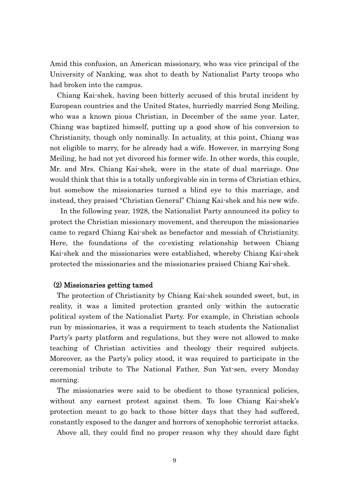Amid this confusion, an American missionary, who was vice principal of the University of Nanking, was shot to death by Nationalist Party troops who had broken into the campus.

 Chiang Kai-shek, having been bitterly accused of this brutal incident by European countries and the United States, hurriedly married Song Meiling, who was a known pious Christian, in December of the same year. Later, Chiang was baptized himself, putting up a good show of his conversion to Christianity, though only nominally. In actuality, at this point, Chiang was not eligible to marry, for he already had a wife. However, in marrying Song Meiling, he had not yet divorced his former wife. In other words, this couple, Mr. and Mrs. Chiang Kai-shek, were in the state of dual marriage. One would think that this is a totally unforgivable sin in terms of Christian ethics, but somehow the missionaries turned a blind eye to this marriage, and instead, they praised "Christian General" Chiang Kai-shek and his new wife.

 In the following year, 1928, the Nationalist Party announced its policy to protect the Christian missionary movement, and thereupon the missionaries came to regard Chiang Kai-shek as benefactor and messiah of Christianity. Here, the foundations of the co-existing relationship between Chiang Kai-shek and the missionaries were established, whereby Chiang Kai-shek protected the missionaries and the missionaries praised Chiang Kai-shek.

# (2) Missionaries getting tamed

 The protection of Christianity by Chiang Kai-shek sounded sweet, but, in reality, it was a limited protection granted only within the autocratic political system of the Nationalist Party. For example, in Christian schools run by missionaries, it was a requirment to teach students the Nationalist Party's party platform and regulations, but they were not allowed to make teaching of Christian activities and theology their required subjects. Moreover, as the Party's policy stood, it was required to participate in the ceremonial tribute to The National Father, Sun Yat-sen, every Monday morning.

 The missionaries were said to be obedient to those tyrannical policies, without any earnest protest against them. To lose Chiang Kai-shek's protection meant to go back to those bitter days that they had suffered, constantly exposed to the danger and horrors of xenophobic terrorist attacks.

Above all, they could find no proper reason why they should dare fight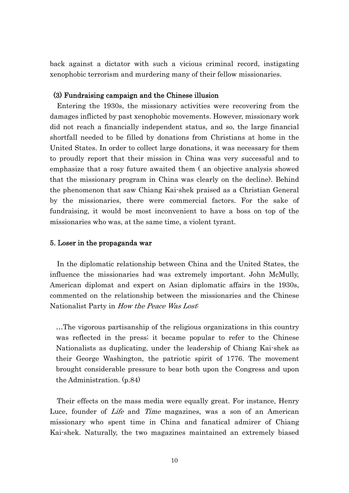back against a dictator with such a vicious criminal record, instigating xenophobic terrorism and murdering many of their fellow missionaries.

# (3) Fundraising campaign and the Chinese illusion

 Entering the 1930s, the missionary activities were recovering from the damages inflicted by past xenophobic movements. However, missionary work did not reach a financially independent status, and so, the large financial shortfall needed to be filled by donations from Christians at home in the United States. In order to collect large donations, it was necessary for them to proudly report that their mission in China was very successful and to emphasize that a rosy future awaited them ( an objective analysis showed that the missionary program in China was clearly on the decline). Behind the phenomenon that saw Chiang Kai-shek praised as a Christian General by the missionaries, there were commercial factors. For the sake of fundraising, it would be most inconvenient to have a boss on top of the missionaries who was, at the same time, a violent tyrant.

## 5. Loser in the propaganda war

 In the diplomatic relationship between China and the United States, the influence the missionaries had was extremely important. John McMully, American diplomat and expert on Asian diplomatic affairs in the 1930s, commented on the relationship between the missionaries and the Chinese Nationalist Party in *How the Peace Was Lost*.

…The vigorous partisanship of the religious organizations in this country was reflected in the press; it became popular to refer to the Chinese Nationalists as duplicating, under the leadership of Chiang Kai-shek as their George Washington, the patriotic spirit of 1776. The movement brought considerable pressure to bear both upon the Congress and upon the Administration. (p.84)

 Their effects on the mass media were equally great. For instance, Henry Luce, founder of *Life* and *Time* magazines, was a son of an American missionary who spent time in China and fanatical admirer of Chiang Kai-shek. Naturally, the two magazines maintained an extremely biased